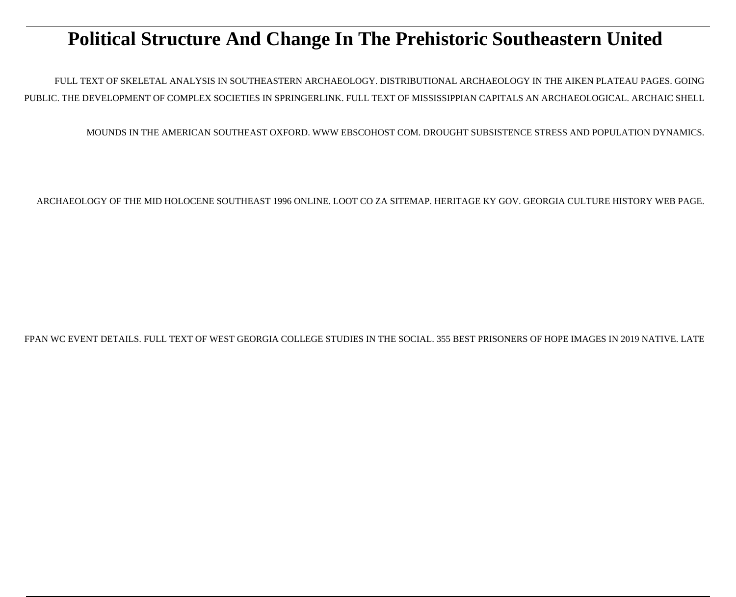# **Political Structure And Change In The Prehistoric Southeastern United**

FULL TEXT OF SKELETAL ANALYSIS IN SOUTHEASTERN ARCHAEOLOGY. DISTRIBUTIONAL ARCHAEOLOGY IN THE AIKEN PLATEAU PAGES. GOING PUBLIC. THE DEVELOPMENT OF COMPLEX SOCIETIES IN SPRINGERLINK. FULL TEXT OF MISSISSIPPIAN CAPITALS AN ARCHAEOLOGICAL. ARCHAIC SHELL

MOUNDS IN THE AMERICAN SOUTHEAST OXFORD. WWW EBSCOHOST COM. DROUGHT SUBSISTENCE STRESS AND POPULATION DYNAMICS.

ARCHAEOLOGY OF THE MID HOLOCENE SOUTHEAST 1996 ONLINE. LOOT CO ZA SITEMAP. HERITAGE KY GOV. GEORGIA CULTURE HISTORY WEB PAGE.

FPAN WC EVENT DETAILS. FULL TEXT OF WEST GEORGIA COLLEGE STUDIES IN THE SOCIAL. 355 BEST PRISONERS OF HOPE IMAGES IN 2019 NATIVE. LATE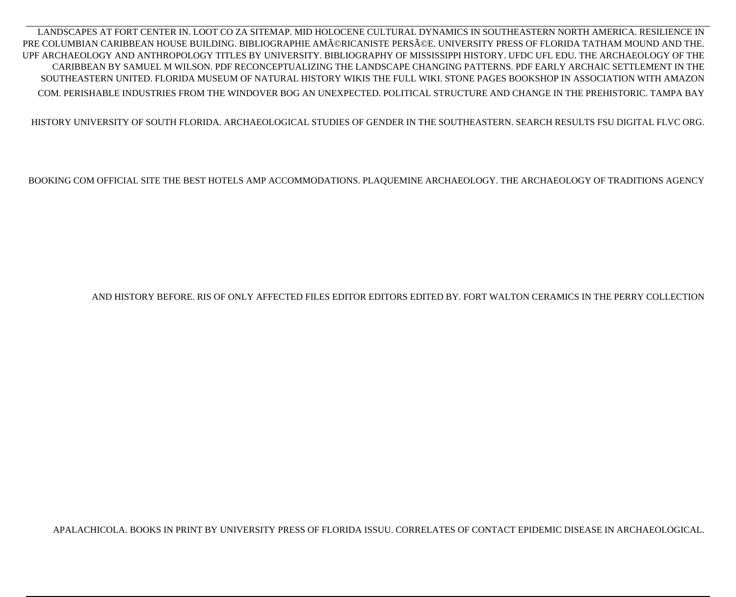LANDSCAPES AT FORT CENTER IN. LOOT CO ZA SITEMAP. MID HOLOCENE CULTURAL DYNAMICS IN SOUTHEASTERN NORTH AMERICA. RESILIENCE IN PRE COLUMBIAN CARIBBEAN HOUSE BUILDING. BIBLIOGRAPHIE AMéRICANISTE PERSéE. UNIVERSITY PRESS OF FLORIDA TATHAM MOUND AND THE. UPF ARCHAEOLOGY AND ANTHROPOLOGY TITLES BY UNIVERSITY. BIBLIOGRAPHY OF MISSISSIPPI HISTORY. UFDC UFL EDU. THE ARCHAEOLOGY OF THE CARIBBEAN BY SAMUEL M WILSON. PDF RECONCEPTUALIZING THE LANDSCAPE CHANGING PATTERNS. PDF EARLY ARCHAIC SETTLEMENT IN THE SOUTHEASTERN UNITED. FLORIDA MUSEUM OF NATURAL HISTORY WIKIS THE FULL WIKI. STONE PAGES BOOKSHOP IN ASSOCIATION WITH AMAZON COM. PERISHABLE INDUSTRIES FROM THE WINDOVER BOG AN UNEXPECTED. POLITICAL STRUCTURE AND CHANGE IN THE PREHISTORIC. TAMPA BAY

HISTORY UNIVERSITY OF SOUTH FLORIDA. ARCHAEOLOGICAL STUDIES OF GENDER IN THE SOUTHEASTERN. SEARCH RESULTS FSU DIGITAL FLVC ORG.

BOOKING COM OFFICIAL SITE THE BEST HOTELS AMP ACCOMMODATIONS. PLAQUEMINE ARCHAEOLOGY. THE ARCHAEOLOGY OF TRADITIONS AGENCY

AND HISTORY BEFORE. RIS OF ONLY AFFECTED FILES EDITOR EDITORS EDITED BY. FORT WALTON CERAMICS IN THE PERRY COLLECTION

APALACHICOLA. BOOKS IN PRINT BY UNIVERSITY PRESS OF FLORIDA ISSUU. CORRELATES OF CONTACT EPIDEMIC DISEASE IN ARCHAEOLOGICAL.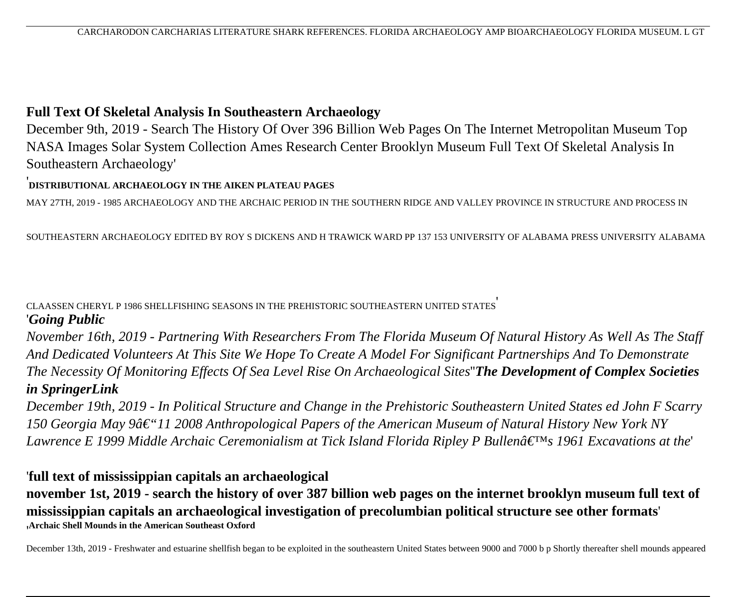### **Full Text Of Skeletal Analysis In Southeastern Archaeology**

December 9th, 2019 - Search The History Of Over 396 Billion Web Pages On The Internet Metropolitan Museum Top NASA Images Solar System Collection Ames Research Center Brooklyn Museum Full Text Of Skeletal Analysis In Southeastern Archaeology'

#### '**DISTRIBUTIONAL ARCHAEOLOGY IN THE AIKEN PLATEAU PAGES**

MAY 27TH, 2019 - 1985 ARCHAEOLOGY AND THE ARCHAIC PERIOD IN THE SOUTHERN RIDGE AND VALLEY PROVINCE IN STRUCTURE AND PROCESS IN

SOUTHEASTERN ARCHAEOLOGY EDITED BY ROY S DICKENS AND H TRAWICK WARD PP 137 153 UNIVERSITY OF ALABAMA PRESS UNIVERSITY ALABAMA

#### CLAASSEN CHERYL P 1986 SHELLFISHING SEASONS IN THE PREHISTORIC SOUTHEASTERN UNITED STATES' '*Going Public*

*November 16th, 2019 - Partnering With Researchers From The Florida Museum Of Natural History As Well As The Staff And Dedicated Volunteers At This Site We Hope To Create A Model For Significant Partnerships And To Demonstrate The Necessity Of Monitoring Effects Of Sea Level Rise On Archaeological Sites*''*The Development of Complex Societies in SpringerLink*

*December 19th, 2019 - In Political Structure and Change in the Prehistoric Southeastern United States ed John F Scarry 150 Georgia May 9â€*"11 2008 Anthropological Papers of the American Museum of Natural History New York NY *Lawrence E 1999 Middle Archaic Ceremonialism at Tick Island Florida Ripley P Bullen's 1961 Excavations at the*'

### '**full text of mississippian capitals an archaeological**

**november 1st, 2019 - search the history of over 387 billion web pages on the internet brooklyn museum full text of mississippian capitals an archaeological investigation of precolumbian political structure see other formats**' '**Archaic Shell Mounds in the American Southeast Oxford**

December 13th, 2019 - Freshwater and estuarine shellfish began to be exploited in the southeastern United States between 9000 and 7000 b p Shortly thereafter shell mounds appeared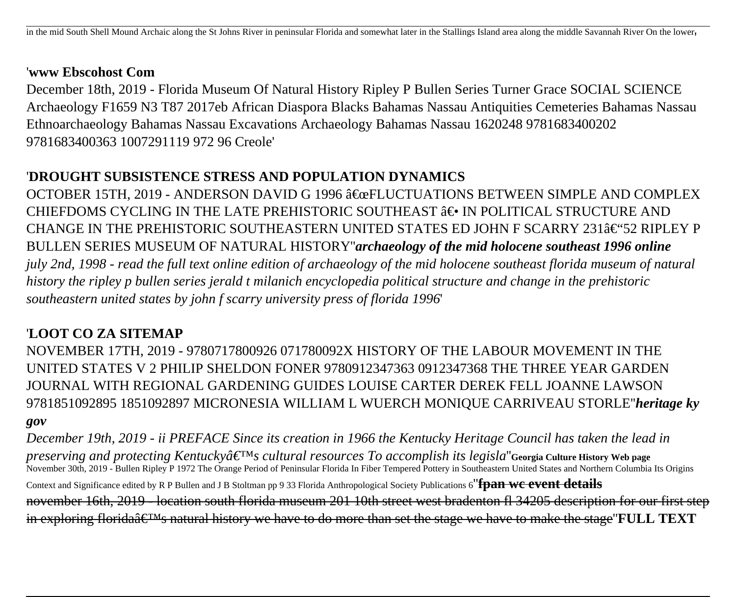#### '**www Ebscohost Com**

December 18th, 2019 - Florida Museum Of Natural History Ripley P Bullen Series Turner Grace SOCIAL SCIENCE Archaeology F1659 N3 T87 2017eb African Diaspora Blacks Bahamas Nassau Antiquities Cemeteries Bahamas Nassau Ethnoarchaeology Bahamas Nassau Excavations Archaeology Bahamas Nassau 1620248 9781683400202 9781683400363 1007291119 972 96 Creole'

### '**DROUGHT SUBSISTENCE STRESS AND POPULATION DYNAMICS**

OCTOBER 15TH, 2019 - ANDERSON DAVID G 1996 "FLUCTUATIONS BETWEEN SIMPLE AND COMPLEX CHIEFDOMS CYCLING IN THE LATE PREHISTORIC SOUTHEAST  $\hat{a}\in\bullet$  IN POLITICAL STRUCTURE AND CHANGE IN THE PREHISTORIC SOUTHEASTERN UNITED STATES ED JOHN F SCARRY 231 $\hat{\mathbf{\alpha}} \in$ "52 RIPLEY P BULLEN SERIES MUSEUM OF NATURAL HISTORY''*archaeology of the mid holocene southeast 1996 online july 2nd, 1998 - read the full text online edition of archaeology of the mid holocene southeast florida museum of natural history the ripley p bullen series jerald t milanich encyclopedia political structure and change in the prehistoric southeastern united states by john f scarry university press of florida 1996*'

## '**LOOT CO ZA SITEMAP**

NOVEMBER 17TH, 2019 - 9780717800926 071780092X HISTORY OF THE LABOUR MOVEMENT IN THE UNITED STATES V 2 PHILIP SHELDON FONER 9780912347363 0912347368 THE THREE YEAR GARDEN JOURNAL WITH REGIONAL GARDENING GUIDES LOUISE CARTER DEREK FELL JOANNE LAWSON 9781851092895 1851092897 MICRONESIA WILLIAM L WUERCH MONIQUE CARRIVEAU STORLE''*heritage ky gov*

*December 19th, 2019 - ii PREFACE Since its creation in 1966 the Kentucky Heritage Council has taken the lead in preserving and protecting Kentuckyâ*  $\epsilon^T M_S$  cultural resources To accomplish its legisla "Georgia Culture History Web page November 30th, 2019 - Bullen Ripley P 1972 The Orange Period of Peninsular Florida In Fiber Tempered Pottery in Southeastern United States and Northern Columbia Its Origins Context and Significance edited by R P Bullen and J B Stoltman pp 9 33 Florida Anthropological Society Publications 6''**fpan wc event details** november 16th, 2019 - location south florida museum 201 10th street west bradenton fl 34205 description for our first step in exploring florida $\hat{\mathbf{a}} \in \mathbb{M}$  natural history we have to do more than set the stage we have to make the stage **FULL TEXT**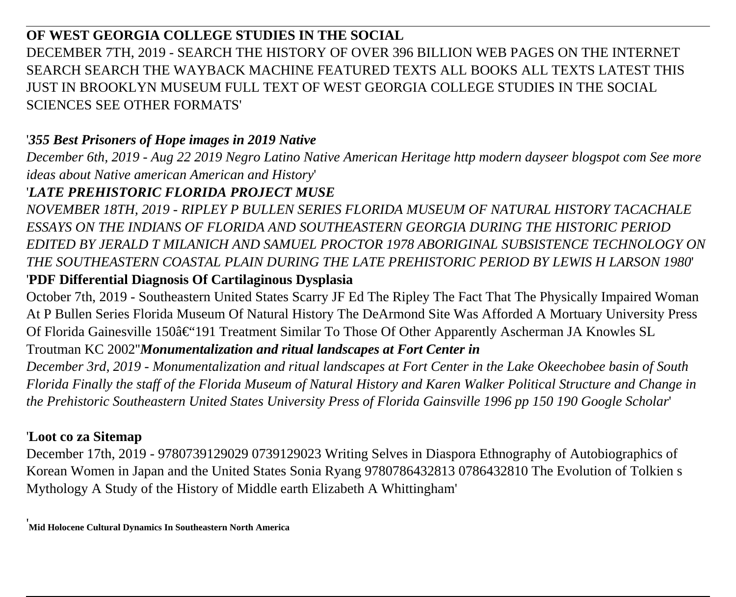## **OF WEST GEORGIA COLLEGE STUDIES IN THE SOCIAL** DECEMBER 7TH, 2019 - SEARCH THE HISTORY OF OVER 396 BILLION WEB PAGES ON THE INTERNET SEARCH SEARCH THE WAYBACK MACHINE FEATURED TEXTS ALL BOOKS ALL TEXTS LATEST THIS JUST IN BROOKLYN MUSEUM FULL TEXT OF WEST GEORGIA COLLEGE STUDIES IN THE SOCIAL SCIENCES SEE OTHER FORMATS'

### '*355 Best Prisoners of Hope images in 2019 Native*

*December 6th, 2019 - Aug 22 2019 Negro Latino Native American Heritage http modern dayseer blogspot com See more ideas about Native american American and History*'

### '*LATE PREHISTORIC FLORIDA PROJECT MUSE*

*NOVEMBER 18TH, 2019 - RIPLEY P BULLEN SERIES FLORIDA MUSEUM OF NATURAL HISTORY TACACHALE ESSAYS ON THE INDIANS OF FLORIDA AND SOUTHEASTERN GEORGIA DURING THE HISTORIC PERIOD EDITED BY JERALD T MILANICH AND SAMUEL PROCTOR 1978 ABORIGINAL SUBSISTENCE TECHNOLOGY ON THE SOUTHEASTERN COASTAL PLAIN DURING THE LATE PREHISTORIC PERIOD BY LEWIS H LARSON 1980*'

### '**PDF Differential Diagnosis Of Cartilaginous Dysplasia**

October 7th, 2019 - Southeastern United States Scarry JF Ed The Ripley The Fact That The Physically Impaired Woman At P Bullen Series Florida Museum Of Natural History The DeArmond Site Was Afforded A Mortuary University Press Of Florida Gainesville 150–191 Treatment Similar To Those Of Other Apparently Ascherman JA Knowles SL

### Troutman KC 2002''*Monumentalization and ritual landscapes at Fort Center in*

*December 3rd, 2019 - Monumentalization and ritual landscapes at Fort Center in the Lake Okeechobee basin of South Florida Finally the staff of the Florida Museum of Natural History and Karen Walker Political Structure and Change in the Prehistoric Southeastern United States University Press of Florida Gainsville 1996 pp 150 190 Google Scholar*'

### '**Loot co za Sitemap**

December 17th, 2019 - 9780739129029 0739129023 Writing Selves in Diaspora Ethnography of Autobiographics of Korean Women in Japan and the United States Sonia Ryang 9780786432813 0786432810 The Evolution of Tolkien s Mythology A Study of the History of Middle earth Elizabeth A Whittingham'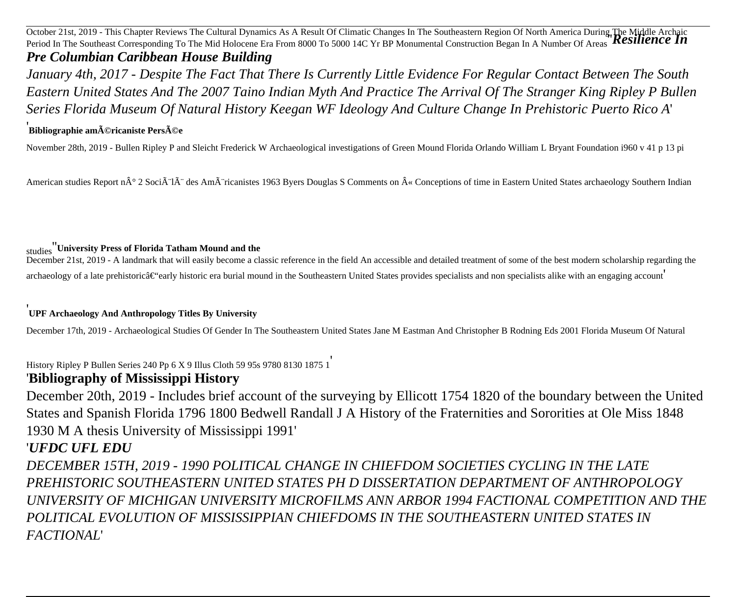October 21st, 2019 - This Chapter Reviews The Cultural Dynamics As A Result Of Climatic Changes In The Southeastern Region Of North America During The Middle Archaic<br>Period In The Southeast Corresponding To The Mid Holocen *Pre Columbian Caribbean House Building*

*January 4th, 2017 - Despite The Fact That There Is Currently Little Evidence For Regular Contact Between The South Eastern United States And The 2007 Taino Indian Myth And Practice The Arrival Of The Stranger King Ripley P Bullen Series Florida Museum Of Natural History Keegan WF Ideology And Culture Change In Prehistoric Puerto Rico A*'

#### '<br>Bibliographie américaniste Persée

November 28th, 2019 - Bullen Ripley P and Sleicht Frederick W Archaeological investigations of Green Mound Florida Orlando William L Bryant Foundation i960 v 41 p 13 pi

American studies Report n° 2 Socià là des Amà ricanistes 1963 Byers Douglas S Comments on « Conceptions of time in Eastern United States archaeology Southern Indian

#### studies''**University Press of Florida Tatham Mound and the**

December 21st, 2019 - A landmark that will easily become a classic reference in the field An accessible and detailed treatment of some of the best modern scholarship regarding the  $\alpha$  archaeology of a late prehistoric $\hat{a} \in \hat{a}$  rearly historic era burial mound in the Southeastern United States provides specialists and non specialists alike with an engaging account

#### '**UPF Archaeology And Anthropology Titles By University**

December 17th, 2019 - Archaeological Studies Of Gender In The Southeastern United States Jane M Eastman And Christopher B Rodning Eds 2001 Florida Museum Of Natural

History Ripley P Bullen Series 240 Pp 6 X 9 Illus Cloth 59 95s 9780 8130 1875 1'

### '**Bibliography of Mississippi History**

December 20th, 2019 - Includes brief account of the surveying by Ellicott 1754 1820 of the boundary between the United States and Spanish Florida 1796 1800 Bedwell Randall J A History of the Fraternities and Sororities at Ole Miss 1848 1930 M A thesis University of Mississippi 1991'

### '*UFDC UFL EDU*

*DECEMBER 15TH, 2019 - 1990 POLITICAL CHANGE IN CHIEFDOM SOCIETIES CYCLING IN THE LATE PREHISTORIC SOUTHEASTERN UNITED STATES PH D DISSERTATION DEPARTMENT OF ANTHROPOLOGY UNIVERSITY OF MICHIGAN UNIVERSITY MICROFILMS ANN ARBOR 1994 FACTIONAL COMPETITION AND THE POLITICAL EVOLUTION OF MISSISSIPPIAN CHIEFDOMS IN THE SOUTHEASTERN UNITED STATES IN FACTIONAL*'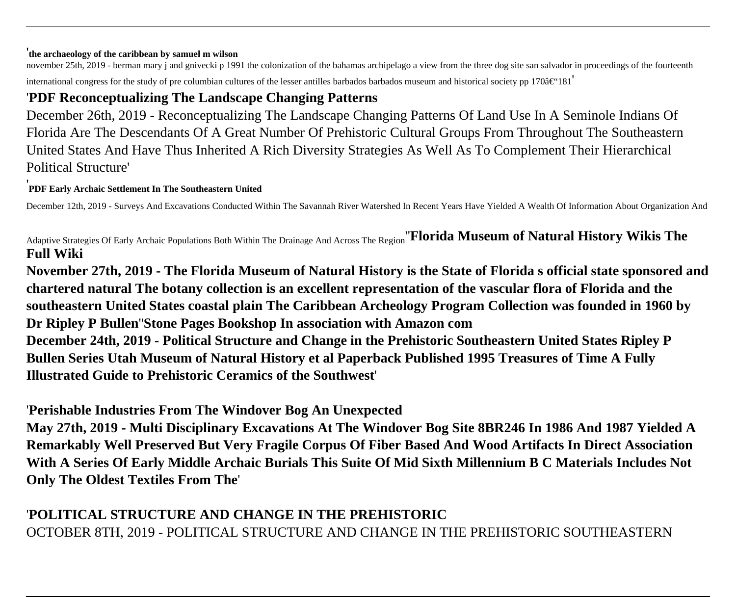#### '**the archaeology of the caribbean by samuel m wilson**

november 25th, 2019 - berman mary j and gnivecki p 1991 the colonization of the bahamas archipelago a view from the three dog site san salvador in proceedings of the fourteenth international congress for the study of pre columbian cultures of the lesser antilles barbados barbados museum and historical society pp 170 $a \in '181'$ 

### '**PDF Reconceptualizing The Landscape Changing Patterns**

December 26th, 2019 - Reconceptualizing The Landscape Changing Patterns Of Land Use In A Seminole Indians Of Florida Are The Descendants Of A Great Number Of Prehistoric Cultural Groups From Throughout The Southeastern United States And Have Thus Inherited A Rich Diversity Strategies As Well As To Complement Their Hierarchical Political Structure'

#### '**PDF Early Archaic Settlement In The Southeastern United**

December 12th, 2019 - Surveys And Excavations Conducted Within The Savannah River Watershed In Recent Years Have Yielded A Wealth Of Information About Organization And

Adaptive Strategies Of Early Archaic Populations Both Within The Drainage And Across The Region''**Florida Museum of Natural History Wikis The Full Wiki**

**November 27th, 2019 - The Florida Museum of Natural History is the State of Florida s official state sponsored and chartered natural The botany collection is an excellent representation of the vascular flora of Florida and the southeastern United States coastal plain The Caribbean Archeology Program Collection was founded in 1960 by Dr Ripley P Bullen**''**Stone Pages Bookshop In association with Amazon com December 24th, 2019 - Political Structure and Change in the Prehistoric Southeastern United States Ripley P Bullen Series Utah Museum of Natural History et al Paperback Published 1995 Treasures of Time A Fully Illustrated Guide to Prehistoric Ceramics of the Southwest**'

'**Perishable Industries From The Windover Bog An Unexpected**

**May 27th, 2019 - Multi Disciplinary Excavations At The Windover Bog Site 8BR246 In 1986 And 1987 Yielded A Remarkably Well Preserved But Very Fragile Corpus Of Fiber Based And Wood Artifacts In Direct Association With A Series Of Early Middle Archaic Burials This Suite Of Mid Sixth Millennium B C Materials Includes Not Only The Oldest Textiles From The**'

## '**POLITICAL STRUCTURE AND CHANGE IN THE PREHISTORIC** OCTOBER 8TH, 2019 - POLITICAL STRUCTURE AND CHANGE IN THE PREHISTORIC SOUTHEASTERN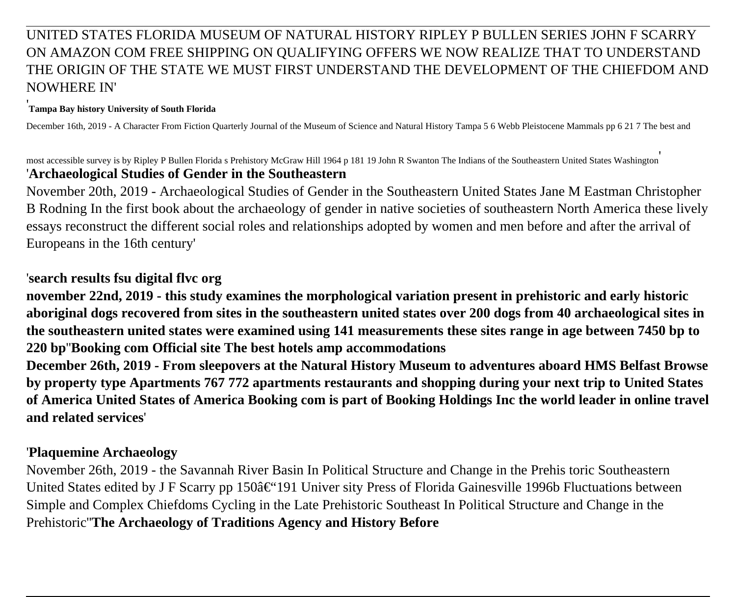### UNITED STATES FLORIDA MUSEUM OF NATURAL HISTORY RIPLEY P BULLEN SERIES JOHN F SCARRY ON AMAZON COM FREE SHIPPING ON QUALIFYING OFFERS WE NOW REALIZE THAT TO UNDERSTAND THE ORIGIN OF THE STATE WE MUST FIRST UNDERSTAND THE DEVELOPMENT OF THE CHIEFDOM AND NOWHERE IN'

#### '**Tampa Bay history University of South Florida**

December 16th, 2019 - A Character From Fiction Quarterly Journal of the Museum of Science and Natural History Tampa 5 6 Webb Pleistocene Mammals pp 6 21 7 The best and

most accessible survey is by Ripley P Bullen Florida s Prehistory McGraw Hill 1964 p 181 19 John R Swanton The Indians of the Southeastern United States Washington' '**Archaeological Studies of Gender in the Southeastern**

November 20th, 2019 - Archaeological Studies of Gender in the Southeastern United States Jane M Eastman Christopher B Rodning In the first book about the archaeology of gender in native societies of southeastern North America these lively essays reconstruct the different social roles and relationships adopted by women and men before and after the arrival of Europeans in the 16th century'

### '**search results fsu digital flvc org**

**november 22nd, 2019 - this study examines the morphological variation present in prehistoric and early historic aboriginal dogs recovered from sites in the southeastern united states over 200 dogs from 40 archaeological sites in the southeastern united states were examined using 141 measurements these sites range in age between 7450 bp to 220 bp**''**Booking com Official site The best hotels amp accommodations**

**December 26th, 2019 - From sleepovers at the Natural History Museum to adventures aboard HMS Belfast Browse by property type Apartments 767 772 apartments restaurants and shopping during your next trip to United States of America United States of America Booking com is part of Booking Holdings Inc the world leader in online travel and related services**'

### '**Plaquemine Archaeology**

November 26th, 2019 - the Savannah River Basin In Political Structure and Change in the Prehis toric Southeastern United States edited by J F Scarry pp 150 $a \in \mathcal{C}$  Univer sity Press of Florida Gainesville 1996b Fluctuations between Simple and Complex Chiefdoms Cycling in the Late Prehistoric Southeast In Political Structure and Change in the Prehistoric''**The Archaeology of Traditions Agency and History Before**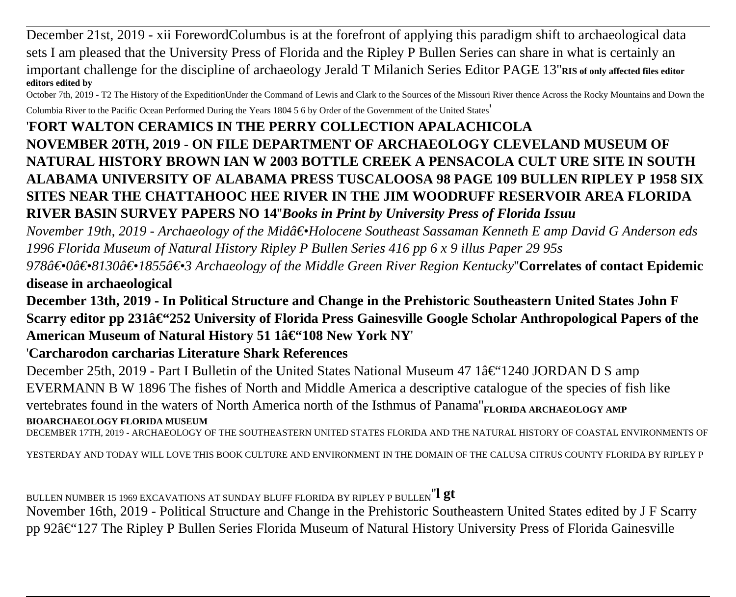December 21st, 2019 - xii ForewordColumbus is at the forefront of applying this paradigm shift to archaeological data sets I am pleased that the University Press of Florida and the Ripley P Bullen Series can share in what is certainly an important challenge for the discipline of archaeology Jerald T Milanich Series Editor PAGE 13''**RIS of only affected files editor editors edited by**

October 7th, 2019 - T2 The History of the ExpeditionUnder the Command of Lewis and Clark to the Sources of the Missouri River thence Across the Rocky Mountains and Down the

Columbia River to the Pacific Ocean Performed During the Years 1804 5 6 by Order of the Government of the United States'

## '**FORT WALTON CERAMICS IN THE PERRY COLLECTION APALACHICOLA NOVEMBER 20TH, 2019 - ON FILE DEPARTMENT OF ARCHAEOLOGY CLEVELAND MUSEUM OF NATURAL HISTORY BROWN IAN W 2003 BOTTLE CREEK A PENSACOLA CULT URE SITE IN SOUTH ALABAMA UNIVERSITY OF ALABAMA PRESS TUSCALOOSA 98 PAGE 109 BULLEN RIPLEY P 1958 SIX SITES NEAR THE CHATTAHOOC HEE RIVER IN THE JIM WOODRUFF RESERVOIR AREA FLORIDA RIVER BASIN SURVEY PAPERS NO 14**''*Books in Print by University Press of Florida Issuu*

*November 19th, 2019 - Archaeology of the Mid―Holocene Southeast Sassaman Kenneth E amp David G Anderson eds 1996 Florida Museum of Natural History Ripley P Bullen Series 416 pp 6 x 9 illus Paper 29 95s*

*978―0―8130―1855―3 Archaeology of the Middle Green River Region Kentucky*''**Correlates of contact Epidemic disease in archaeological**

**December 13th, 2019 - In Political Structure and Change in the Prehistoric Southeastern United States John F** Scarry editor pp 231â€<sup>4</sup>252 University of Florida Press Gainesville Google Scholar Anthropological Papers of the American Museum of Natural History 51 1–108 New York NY

'**Carcharodon carcharias Literature Shark References**

December 25th, 2019 - Part I Bulletin of the United States National Museum 47 1 $a \in \{1240\}$  JORDAN D S amp EVERMANN B W 1896 The fishes of North and Middle America a descriptive catalogue of the species of fish like vertebrates found in the waters of North America north of the Isthmus of Panama<sup>"</sup>**FLORIDA ARCHAEOLOGY AMP BIOARCHAEOLOGY FLORIDA MUSEUM**

DECEMBER 17TH, 2019 - ARCHAEOLOGY OF THE SOUTHEASTERN UNITED STATES FLORIDA AND THE NATURAL HISTORY OF COASTAL ENVIRONMENTS OF

YESTERDAY AND TODAY WILL LOVE THIS BOOK CULTURE AND ENVIRONMENT IN THE DOMAIN OF THE CALUSA CITRUS COUNTY FLORIDA BY RIPLEY P

BULLEN NUMBER 15 1969 EXCAVATIONS AT SUNDAY BLUFF FLORIDA BY RIPLEY P BULLEN''**l gt**

November 16th, 2019 - Political Structure and Change in the Prehistoric Southeastern United States edited by J F Scarry pp 92–127 The Ripley P Bullen Series Florida Museum of Natural History University Press of Florida Gainesville